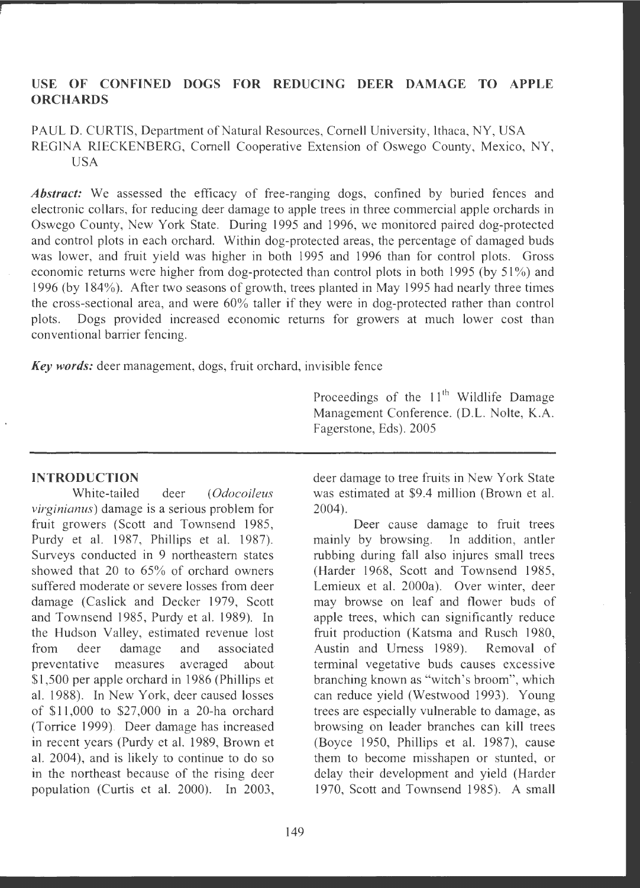# **USE OF CONFINED DOGS FOR REDUCING DEER DAMAGE TO APPLE ORCHARDS**

PAUL D. CURTIS, Department of Natural Resources, Cornell University, Ithaca, NY, USA REGINA RIECKENBERG, Cornell Cooperative Extension of Oswego County, Mexico, NY, **USA** 

Abstract: We assessed the efficacy of free-ranging dogs, confined by buried fences and electronic collars, for reducing deer damage to apple trees in three commercial apple orchards in Oswego County, New York State. During 1995 and 1996, we monitored paired dog-protected and control plots in each orchard. Within dog-protected areas, the percentage of damaged buds was lower, and fruit yield was higher in both 1995 and 1996 than for control plots. Gross economic returns were higher from dog-protected than control plots in both 1995 (by 51%) and 1996 (by 184%). After two seasons of growth , trees planted in May 1995 had nearly three times the cross-sectional area, and were 60% taller if they were in dog-protected rather than control plots. Dogs provided increased economic returns for growers at much lower cost than conventional barrier fencing.

*Key words:* deer management, dogs, fruit orchard, invisible fence

# **INTRODUCTION**

White-tailed deer *(Odocoileus virginianus)* damage is a serious problem for fruit growers (Scott and Townsend 1985, Purdy et al. 1987, Phillips et al. 1987). Surveys conducted in 9 northeastern states showed that 20 to 65% of orchard owners suffered moderate or severe losses from deer damage (Caslick and Decker 1979, Scott and Townsend 1985, Purdy et al. 1989). In the Hudson Valley, estimated revenue lost from deer damage and associated preventative measures averaged about \$1,500 per apple orchard in 1986 (Phillips et al. 1988). In New York, deer caused losses of \$11,000 to \$27,000 in a 20-ha orchard (Torrice 1999). Deer damage has increased in recent years (Purdy et al. 1989, Brown et al. 2004), and is likely to continue to do so in the northeast because of the rising deer population (Curtis et al. 2000). In 2003,

Proceedings of the 11<sup>th</sup> Wildlife Damage Management Conference. (D.L. Nolte, K.A. Fagerstone, Eds). 2005

deer damage to tree fruits in New York State was estimated at \$9.4 million (Brown et al. 2004).

Deer cause damage to fruit trees mainly by browsing. In addition, antler rubbing during fall also injures small trees (Harder 1968, Scott and Townsend 1985, Lemieux et al. 2000a). Over winter, deer may browse on leaf and flower buds of apple trees, which can significantly reduce fruit production (Katsma and Rusch 1980, Austin and Urness 1989). Removal of terminal vegetative buds causes excessive branching known as "witch's broom", which can reduce yield (Westwood 1993). Young trees are especially vulnerable to damage, as browsing on leader branches can **kill** trees (Boyce 1950, Phillips et al. 1987), cause them to become misshapen or stunted, or delay their development and yield (Harder 1970, Scott and Townsend 1985). A small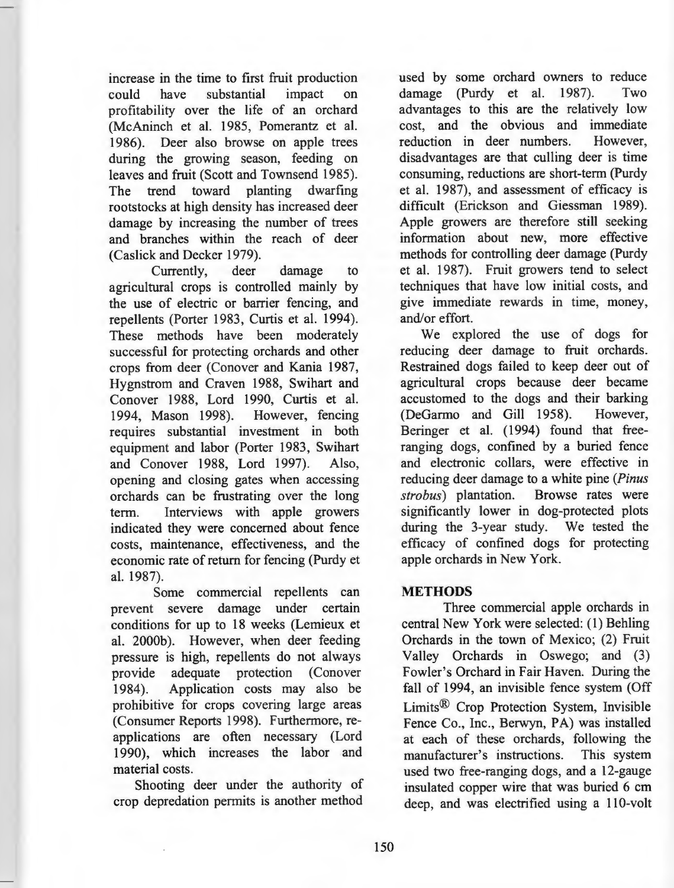increase in the time to first fruit production could have substantial impact on profitability over the life of an orchard (McAninch et al. 1985, Pomerantz et al. 1986). Deer also browse on apple trees during the growing season, feeding on leaves and fruit (Scott and Townsend 1985). The trend toward planting dwarfing rootstocks at high density has increased deer damage by increasing the number of trees and branches within the reach of deer (Caslick and Decker 1979).

Currently, deer damage to agricultural crops is controlled mainly by the use of electric or barrier fencing, and repellents (Porter 1983, Curtis et al. 1994). These methods have been moderately successful for protecting orchards and other crops from deer (Conover and Kania 1987, Hygnstrom and Craven 1988, Swihart and Conover 1988, Lord 1990, Curtis et al. 1994, Mason 1998). However, fencing requires substantial investment in both equipment and labor (Porter 1983, Swihart and Conover 1988, Lord 1997). Also, opening and closing gates when accessing orchards can be frustrating over the long term. Interviews with apple growers indicated they were concerned about fence costs, maintenance, effectiveness, and the economic rate of return for fencing (Purdy et al. 1987).

Some commercial repellents can prevent severe damage under certain conditions for up to 18 weeks (Lemieux et al. 2000b). However, when deer feeding pressure is high, repellents do not always provide adequate protection (Conover 1984). Application costs may also be prohibitive for crops covering large areas (Consumer Reports 1998). Furthermore, reapplications are often necessary (Lord 1990), which increases the labor and material costs.

Shooting deer under the authority of crop depredation permits is another method used by some orchard owners to reduce<br>damage (Purdy et al. 1987). Two damage (Purdy et al. 1987). advantages to this are the relatively low cost, and the obvious and immediate reduction in deer numbers. However, disadvantages are that culling deer is time consuming, reductions are short-term (Purdy et al. 1987), and assessment of efficacy is difficult (Erickson and Giessman 1989). Apple growers are therefore still seeking information about new, more effective methods for controlling deer damage (Purdy et al. 1987). Fruit growers tend to select techniques that have low initial costs, and give immediate rewards in time, money, and/or effort.

We explored the use of dogs for reducing deer damage to fruit orchards. Restrained dogs failed to keep deer out of agricultural crops because deer became accustomed to the dogs and their barking (DeGarmo and Gill 1958). However, Beringer et al. (1994) found that freeranging dogs, confined by a buried fence and electronic collars, were effective in reducing deer damage to a white pine *(Pinus strobus)* plantation. Browse rates were significantly lower in dog-protected plots during the 3-year study. We tested the efficacy of confined dogs for protecting apple orchards in New York.

## **METHODS**

Three commercial apple orchards in central New York were selected: ( 1) Behling Orchards in the town of Mexico; (2) Fruit Valley Orchards in Oswego; and (3) Fowler's Orchard in Fair Haven. During the fall of 1994, an invisible fence system (Off Limits® Crop Protection System, Invisible Fence Co., Inc., Berwyn, PA) was installed at each of these orchards, following the manufacturer's instructions. This system used two free-ranging dogs, and a 12-gauge insulated copper wire that was buried 6 cm deep, and was electrified using a 110-volt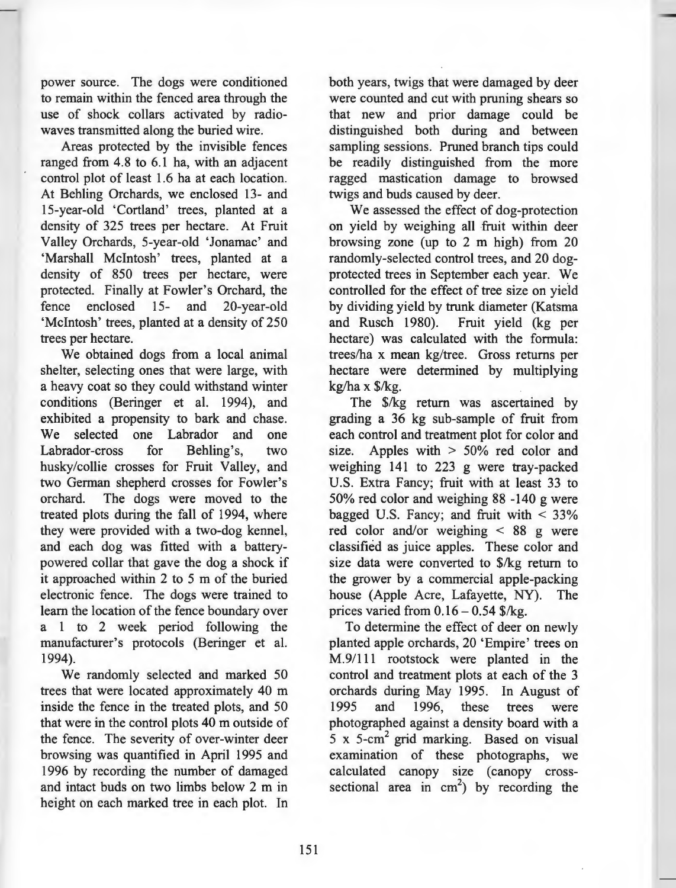power source. The dogs were conditioned to remain within the fenced area through the use of shock collars activated by radiowaves transmitted along the buried wire.

Areas protected by the invisible fences ranged from 4.8 to 6.1 ha, with an adjacent control plot of least 1.6 ha at each location. At Behling Orchards, we enclosed 13- and 15-year-old 'Cortland' trees, planted at a density of 325 trees per hectare. At Fruit Valley Orchards, 5-year-old 'Jonamac' and 'Marshall McIntosh' trees, planted at a density of 850 trees per hectare, were protected. Finally at Fowler's Orchard, the fence enclosed 15- and 20-year-old 'McIntosh' trees, planted at a density of 250 trees per hectare.

We obtained dogs from a local animal shelter, selecting ones that were large, with a heavy coat so they could withstand winter conditions (Beringer et al. 1994), and exhibited a propensity to bark and chase. We selected one Labrador and one Labrador-cross for Behling's, two husky/collie crosses for Fruit Valley, and two German shepherd crosses for Fowler's orchard. The dogs were moved to the treated plots during the fall of 1994, where they were provided with a two-dog kennel, and each dog was fitted with a batterypowered collar that gave the dog a shock if it approached within 2 to 5 m of the buried electronic fence. The dogs were trained to learn the location of the fence boundary over a 1 to 2 week period following the manufacturer's protocols (Beringer et al. 1994).

We randomly selected and marked 50 trees that were located approximately 40 m inside the fence in the treated plots, and 50 that were in the control plots 40 m outside of the fence. The severity of over-winter deer browsing was quantified in April 1995 and 1996 by recording the number of damaged and intact buds on two limbs below 2 m in height on each marked tree in each plot. In both years, twigs that were damaged by deer were counted and cut with pruning shears so that new and prior damage could be distinguished both during and between sampling sessions. Pruned branch tips could be readily distinguished from the more ragged mastication damage to browsed twigs and buds caused by deer.

We assessed the effect of dog-protection on yield by weighing all fruit within deer browsing zone (up to 2 m high) from 20 randomly-selected control trees, and 20 dogprotected trees in September each year. We controlled for the effect of tree size on yield by dividing yield by trunk diameter (Katsma and Rusch 1980). Fruit yield (kg per hectare) was calculated with the formula: trees/ha x mean kg/tree. Gross returns per hectare were determined by multiplying kg/ha x \$/kg.

The \$/kg return was ascertained by grading a 36 kg sub-sample of fruit from each control and treatment plot for color and size. Apples with  $> 50\%$  red color and weighing 141 to 223 g were tray-packed U.S. Extra Fancy; fruit with at least 33 to 50% red color and weighing 88 -140 g were bagged U.S. Fancy; and fruit with  $\leq 33\%$ red color and/or weighing < 88 g were classified as juice apples. These color and size data were converted to \$/kg return to the grower by a commercial apple-packing house (Apple Acre, Lafayette, NY). The prices varied from  $0.16 - 0.54$  \$/kg.

To determine the effect of deer on newly planted apple orchards, 20 'Empire' trees on M.9/111 rootstock were planted in the control and treatment plots at each of the 3 orchards during May 1995. In August of 1995 and 1996, these trees were photographed against a density board with a  $5 \times 5$ -cm<sup>2</sup> grid marking. Based on visual examination of these photographs, we calculated canopy size (canopy crosssectional area in  $cm<sup>2</sup>$ ) by recording the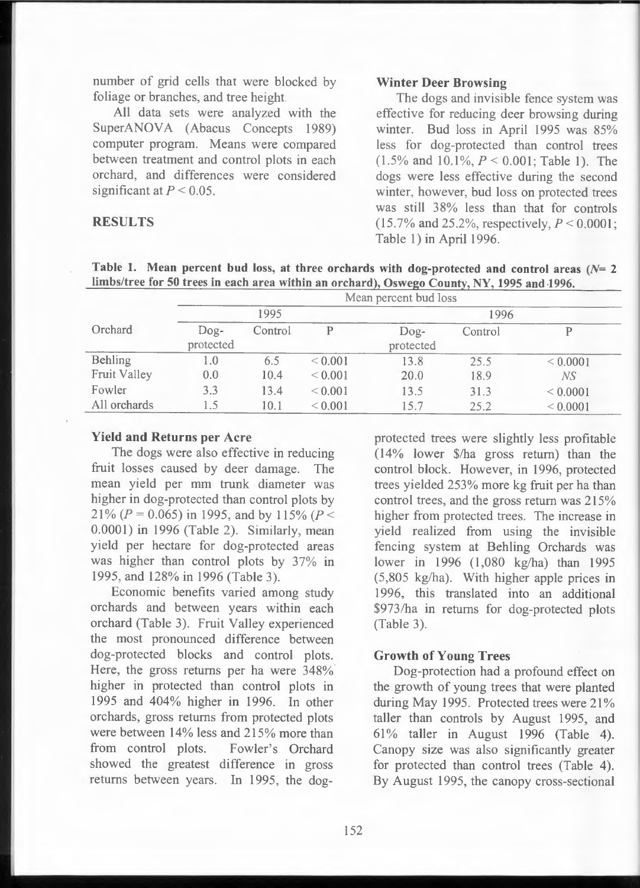number of grid cells that were blocked by foliage or branches, and tree height.

All data sets were analyzed with the SuperANOVA (Abacus Concepts 1989) computer program. Means were compared between treatment and control plots in each orchard, and differences were considered significant at  $P < 0.05$ .

### **RESULTS**

#### **Winter Deer Browsing**

The dogs and invisible fence system was effective for reducing deer browsing during winter. Bud loss in April 1995 was 85% less for dog-protected than control trees  $(1.5\%$  and  $10.1\%$ ,  $P < 0.001$ ; Table 1). The dogs were less effective during the second winter, however, bud loss on protected trees was still 38% less than that for controls  $(15.7\%$  and 25.2%, respectively,  $P < 0.0001$ ; Table 1) in April 1996.

**Table 1. Mean percent bud loss, at three orchards with dog-protected and control areas** *(N=* **<sup>2</sup> limbs/tree for 50 trees in each area within an orchard), Oswego County, NY, 1995 and 1996.** 

|              | Mean percent bud loss |         |             |                            |         |              |  |
|--------------|-----------------------|---------|-------------|----------------------------|---------|--------------|--|
|              | 1995                  |         |             | 1996                       |         |              |  |
| Orchard      | $Dog-$<br>protected   | Control |             | $\log_{\tau}$<br>protected | Control |              |  |
| Behling      | 1.0                   | 6.5     | ${}< 0.001$ | 13.8                       | 25.5    | ${}< 0.0001$ |  |
| Fruit Valley | 0.0                   | 10.4    | ${}< 0.001$ | 20.0                       | 18.9    | N S          |  |
| Fowler       | 3.3                   | 13.4    | ${}< 0.001$ | 13.5                       | 31.3    | ${}< 0.0001$ |  |
| All orchards | 1.5                   | 10.1    | ${}< 0.001$ | 15.7                       | 25.2    | ${}< 0.0001$ |  |

#### **Yield and Returns per Acre**

The dogs were also effective in reducing fruit losses caused by deer damage. The mean yield per mm trunk diameter was higher in dog-protected than control plots by 21% ( $P = 0.065$ ) in 1995, and by 115% ( $P <$  $0.0001$ ) in 1996 (Table 2). Similarly, mean yield per hectare for dog-protected areas was higher than control plots by 37% in 1995, and 128% in 1996 (Table 3).

Economic benefits varied among study orchards and between years within each orchard (Table 3). Fruit Valley experienced the most pronounced difference between dog-protected blocks and control plots. Here, the gross returns per ha were 348% higher in protected than control plots in 1995 and 404% higher in 1996. In other orchards, gross returns from protected plots were between 14% less and 215% more than from control plots. Fowler's Orchard showed the greatest difference in gross returns between years. In 1995, the dog-

protected trees were slightly less profitable (14% lower \$/ha gross return) than the control block. However, in 1996, protected trees yielded 253% more kg fruit per ha than control trees, and the gross return was 215% higher from protected trees. The increase in yield realized from using the invisible fencing system at Behling Orchards was lower in 1996 (1,080 kg/ha) than 1995  $(5,805 \text{ kg/ha})$ . With higher apple prices in 1996, this translated into an additional \$973/ha in returns for dog-protected plots (Table 3).

### **Growth of Young Trees**

Dog-protection had a profound effect on the growth of young trees that were planted during May 1995. Protected trees were 21% taller than controls by August 1995, and 61 % taller in August 1996 (Table 4). Canopy size was also significantly greater for protected than control trees (Table 4). By August 1995, the canopy cross-sectional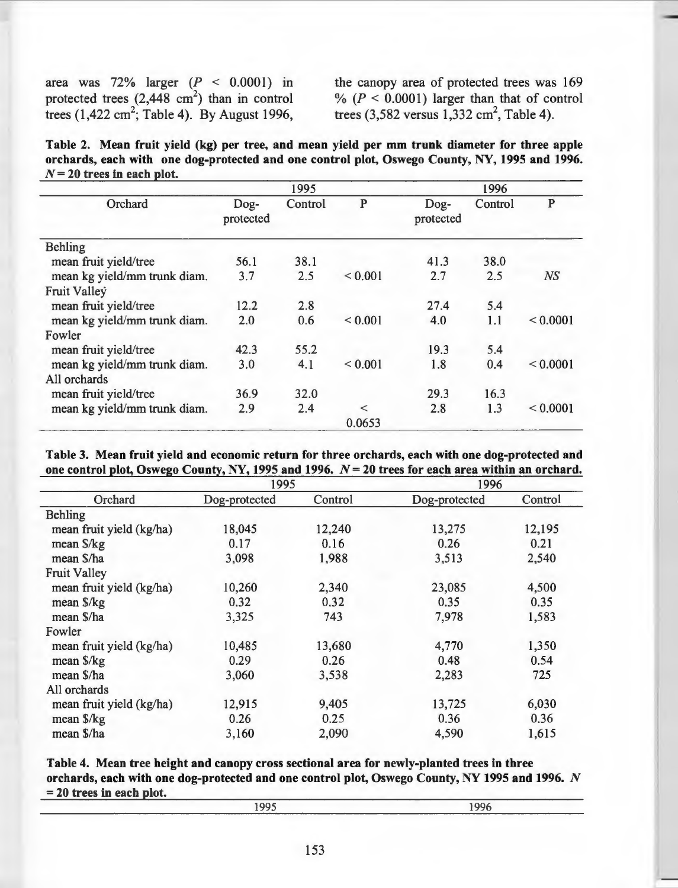area was  $72\%$  larger  $(P < 0.0001)$  in protected trees  $(2,448 \text{ cm}^2)$  than in control trees  $(1,422 \text{ cm}^2; \text{Table 4})$ . By August 1996, the canopy area of protected trees was 169  $% (P < 0.0001)$  larger than that of control trees  $(3,582 \text{ versus } 1,332 \text{ cm}^2, \text{ Table 4}).$ 

**Table 2. Mean fruit yield (kg) per tree, and mean yield per mm trunk diameter for three apple orchards, each with one dog-protected and one control plot, Oswego County, NY, 1995 and 1996.**   $N = 20$  trees in each plot.

|                              | 1995              |         |              | 1996              |         |               |
|------------------------------|-------------------|---------|--------------|-------------------|---------|---------------|
| Orchard                      | Dog-<br>protected | Control | $\mathbf P$  | Dog-<br>protected | Control | $\mathbf{P}$  |
| <b>Behling</b>               |                   |         |              |                   |         |               |
| mean fruit yield/tree        | 56.1              | 38.1    |              | 41.3              | 38.0    |               |
| mean kg yield/mm trunk diam. | 3.7               | 2.5     | ${}_{0.001}$ | 2.7               | 2.5     | <b>NS</b>     |
| Fruit Valley                 |                   |         |              |                   |         |               |
| mean fruit yield/tree        | 12.2              | 2.8     |              | 27.4              | 5.4     |               |
| mean kg yield/mm trunk diam. | 2.0               | 0.6     | ${}_{0.001}$ | 4.0               | 1.1     | ${}_{0.0001}$ |
| Fowler                       |                   |         |              |                   |         |               |
| mean fruit yield/tree        | 42.3              | 55.2    |              | 19.3              | 5.4     |               |
| mean kg yield/mm trunk diam. | 3.0               | 4.1     | ${}_{0.001}$ | 1.8               | 0.4     | ${}_{0.0001}$ |
| All orchards                 |                   |         |              |                   |         |               |
| mean fruit yield/tree        | 36.9              | 32.0    |              | 29.3              | 16.3    |               |
| mean kg yield/mm trunk diam. | 2.9               | 2.4     | $\,<\,$      | 2.8               | 1.3     | < 0.0001      |
|                              |                   |         | 0.0653       |                   |         |               |

| Table 3. Mean fruit yield and economic return for three orchards, each with one dog-protected and   |  |
|-----------------------------------------------------------------------------------------------------|--|
| one control plot, Oswego County, NY, 1995 and 1996. $N = 20$ trees for each area within an orchard. |  |

|                          | 1995          |         | 1996          |         |  |
|--------------------------|---------------|---------|---------------|---------|--|
| Orchard                  | Dog-protected | Control | Dog-protected | Control |  |
| Behling                  |               |         |               |         |  |
| mean fruit yield (kg/ha) | 18,045        | 12,240  | 13,275        | 12,195  |  |
| mean \$/kg               | 0.17          | 0.16    | 0.26          | 0.21    |  |
| mean \$/ha               | 3,098         | 1,988   | 3,513         | 2,540   |  |
| <b>Fruit Valley</b>      |               |         |               |         |  |
| mean fruit yield (kg/ha) | 10,260        | 2,340   | 23,085        | 4,500   |  |
| mean \$/kg               | 0.32          | 0.32    | 0.35          | 0.35    |  |
| mean \$/ha               | 3,325         | 743     | 7,978         | 1,583   |  |
| Fowler                   |               |         |               |         |  |
| mean fruit yield (kg/ha) | 10,485        | 13,680  | 4,770         | 1,350   |  |
| mean \$/kg               | 0.29          | 0.26    | 0.48          | 0.54    |  |
| mean \$/ha               | 3,060         | 3,538   | 2,283         | 725     |  |
| All orchards             |               |         |               |         |  |
| mean fruit yield (kg/ha) | 12,915        | 9,405   | 13,725        | 6,030   |  |
| mean \$/kg               | 0.26          | 0.25    | 0.36          | 0.36    |  |
| mean \$/ha               | 3,160         | 2,090   | 4,590         | 1,615   |  |

**Table 4. Mean tree height and canopy cross sectional area for newly-planted trees in three orchards, each with one dog-protected and one control plot, Oswego County, NY 1995 and 1996.** *N*  = **20 trees in each plot.** 

1995 1996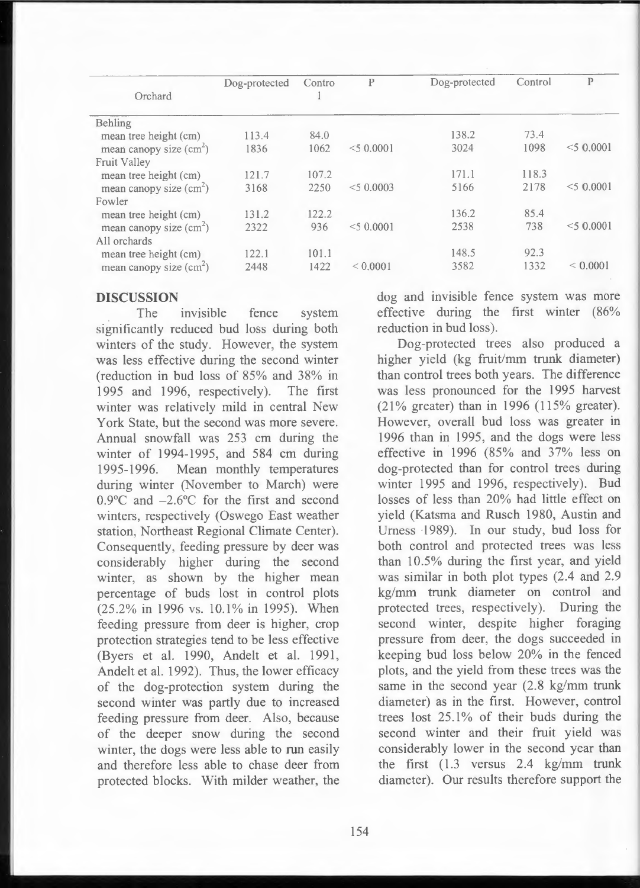| Orchard                  | Dog-protected | Contro | P            | Dog-protected | Control | P            |
|--------------------------|---------------|--------|--------------|---------------|---------|--------------|
|                          |               |        |              |               |         |              |
| Behling                  |               |        |              |               |         |              |
| mean tree height (cm)    | 113.4         | 84.0   |              | 138.2         | 73.4    |              |
| mean canopy size $(cm2)$ | 1836          | 1062   | $<$ 5 0.0001 | 3024          | 1098    | $<$ 5 0.0001 |
| <b>Fruit Valley</b>      |               |        |              |               |         |              |
| mean tree height (cm)    | 121.7         | 107.2  |              | 171.1         | 118.3   |              |
| mean canopy size $(cm2)$ | 3168          | 2250   | < 50.0003    | 5166          | 2178    | $<$ 5 0.0001 |
| Fowler                   |               |        |              |               |         |              |
| mean tree height (cm)    | 131.2         | 122.2  |              | 136.2         | 85.4    |              |
| mean canopy size $(cm2)$ | 2322          | 936    | < 50.0001    | 2538          | 738     | $<$ 5 0.0001 |
| All orchards             |               |        |              |               |         |              |
| mean tree height (cm)    | 122.1         | 101.1  |              | 148.5         | 92.3    |              |
| mean canopy size $(cm2)$ | 2448          | 1422   | ${}< 0.0001$ | 3582          | 1332    | ${}< 0.0001$ |

#### **DISCUSSION**

The invisible fence system significantly reduced bud loss during both winters of the study. However, the system was less effective during the second winter (reduction in bud loss of 85% and 38% in 1995 and 1996, respectively). The first winter was relatively mild in central New York State, but the second was more severe. Annual snowfall was 253 cm during the winter of 1994-1995, and 584 cm during 1995-1996. Mean monthly temperatures during winter (November to March) were  $0.9^{\circ}$ C and  $-2.6^{\circ}$ C for the first and second winters, respectively (Oswego East weather station, Northeast Regional Climate Center). Consequently, feeding pressure by deer was considerably higher during the second winter, as shown by the higher mean percentage of buds lost in control plots (25.2% in 1996 vs. 10.1% in 1995). When feeding pressure from deer is higher, crop protection strategies tend to be less effective (Byers et al. 1990, Andelt et al. 1991, Andelt et al. 1992). Thus, the lower efficacy of the dog-protection system during the second winter was partly due to increased feeding pressure from deer. Also, because of the deeper snow during the second winter, the dogs were less able to run easily and therefore less able to chase deer from protected blocks. With milder weather, the

dog and invisible fence system was more effective during the first winter (86% reduction in bud loss).

Dog-protected trees also produced a higher yield (kg fruit/mm trunk diameter) than control trees both years. The difference was less pronounced for the 1995 harvest (21% greater) than in 1996 (115% greater). However, overall bud loss was greater in 1996 than in 1995, and the dogs were less effective in 1996 (85% and 37% less on dog-protected than for control trees during winter 1995 and 1996, respectively). Bud losses of less than 20% had little effect on <sup>y</sup>ie ld (Katsma and Rusch 1980, Austin and Urness  $\cdot$ 1989). In our study, bud loss for both control and protected trees was less than 10.5% during the first year, and yield was similar in both plot types (2.4 and 2.9 kg/mm trunk diameter on control and protected trees, respectively). During the second winter, despite higher foraging pressure from deer, the dogs succeeded in keeping bud loss below 20% in the fenced <sup>p</sup>lots, and the yield from these trees was the same in the second year (2.8 kg/mm trunk diameter) as in the first. However, control trees lost  $25.1\%$  of their buds during the second winter and their fruit yield was considerably lower in the second year than the first (1.3 versus 2.4 kg/mm trunk diameter). Our results therefore support the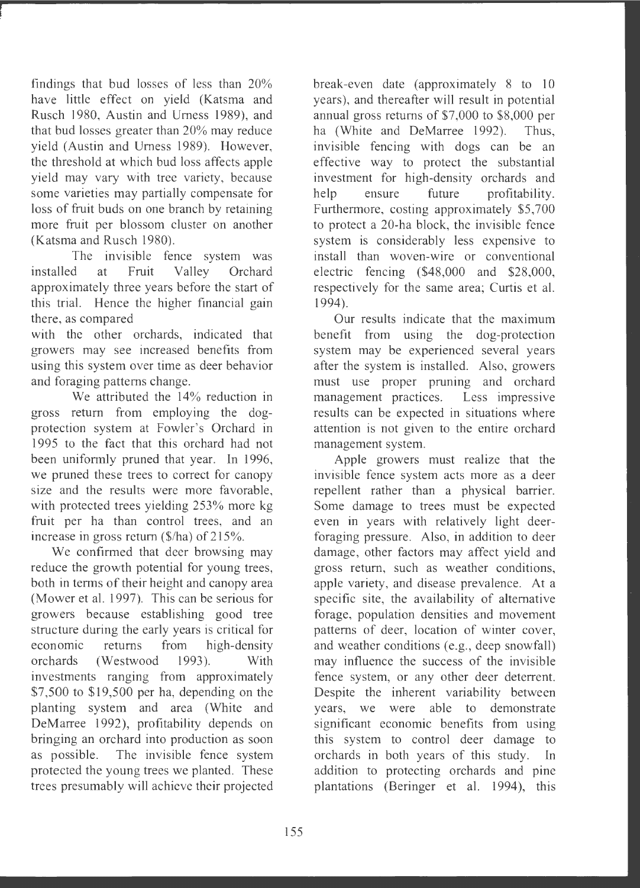findings that bud losses of less than 20% have little effect on yield (Katsma and Rusch 1980, Austin and Urness 1989), and that bud losses greater than 20% may reduce yield (Austin and Urness 1989). However, the threshold at which bud loss affects apple yield may vary with tree variety, because some varieties may partially compensate for loss of fruit buds on one branch by retaining more fruit per blossom cluster on another (Katsma and Rusch 1980).

The invisible fence system was installed at Fruit Valley Orchard approximately three years before the start of this trial. Hence the higher financial gain there, as compared

with the other orchards, indicated that growers may see increased benefits from using this system over time as deer behavior and foraging patterns change.

We attributed the 14% reduction in gross return from employing the dogprotection system at Fowler's Orchard in 1995 to the fact that this orchard had not been uniformly pruned that year. In 1996, we pruned these trees to correct for canopy size and the results were more favorable, with protected trees yielding 253% more kg fruit per ha than control trees, and an increase in gross return (\$/ha) of 215%.

We confirmed that deer browsing may reduce the growth potential for young trees, both in terms of their height and canopy area (Mower et al. 1997). This can be serious for growers because establishing good tree structure during the early years is critical for economic returns from high-density orchards (Westwood 1993). With investments ranging from approximately \$7,500 to \$19,500 per ha, depending on the planting system and area (White and DeMarree 1992), profitability depends on bringing an orchard into production as soon as possible. The invisible fence system protected the young trees we planted. These trees presumably will achieve their projected break-even date (approximately 8 to 10 years), and thereafter will result in potential annual gross returns of \$7,000 to \$8,000 per ha (White and DeMarree 1992). Thus, invisible fencing with dogs can be an effective way to protect the substantial investment for high-density orchards and help ensure future profitability. Furthermore, costing approximately \$5,700 to protect a 20-ha block , the invisible fence system is considerably less expensive to install than woven-wire or conventional electric fencing  $(\$48,000$  and  $\$28,000$ . respectively for the same area; Curtis et al. 1994).

Our results indicate that the maximum benefit from using the dog-protection system may be experienced several years after the system is installed. Also, growers must use proper pruning and orchard management practices. Less impressive results can be expected in situations where attention is not given to the entire orchard management system.

Apple growers must realize that the invisible fence system acts more as a deer repellent rather than a physical barrier. Some damage to trees must be expected even in years with relatively light deerforaging pressure. Also, in addition to deer damage, other factors may affect yield and gross return, such as weather conditions, apple variety, and disease prevalence. At a specific site, the availability of alternative forage, population densities and movement patterns of deer, location of winter cover, and weather conditions (e.g., deep snowfall) may influence the success of the invisible fence system, or any other deer deterrent. Despite the inherent variability between years, we were able to demonstrate significant economic benefits from using this system to control deer damage to orchards in both years of this study. In addition to protecting orchards and pine plantations (Beringer et al. 1994), this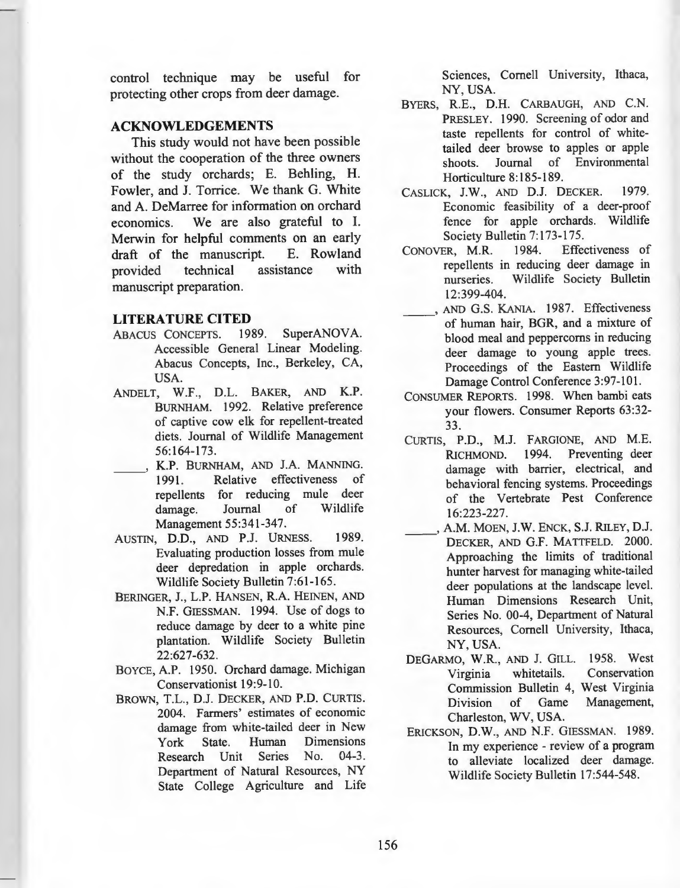control technique may be useful for protecting other crops from deer damage.

### **ACKNOWLEDGEMENTS**

This study would not have been possible without the cooperation of the three owners of the study orchards; E. Behling, H. Fowler, and J. Torrice. We thank G. White and A. DeMarree for information on orchard economics. We are also grateful to I. Merwin for helpful comments on an early draft of the manuscript. E. Rowland provided technical assistance with manuscript preparation.

#### **LITERATURE CITED**

- ABACUS CONCEPTS. 1989. SuperANOVA. Accessible General Linear Modeling. Abacus Concepts, Inc., Berkeley, CA, USA.
- ANDELT, **W .F.,** D.L. BAKER, AND **K.P.**  BURNHAM. 1992. Relative preference of captive cow elk for repellent-treated diets. Journal of Wildlife Management 56:164-173 .
- $\sim$ **K.P.** BURNHAM, AND J.A. MANNING. 1991. Relative effectiveness of repellents for reducing mule deer damage. Journal of Wildlife Management 55:341-347.
- AUSTIN, D.D., AND P.J. URNESS. 1989. Evaluating production losses from mule deer depredation in apple orchards. Wildlife Society Bulletin 7:61-165.
- BERINGER, J., L.P. HANSEN, R.A. HEINEN, AND N.F. GIESSMAN. 1994. Use of dogs to reduce damage by deer to a white pine plantation. Wildlife Society Bulletin 22:627-632.
- BOYCE, A.P. 1950. Orchard damage. Michigan Conservationist 19:9-10.
- BROWN, T.L., DJ. DECKER, AND P.O. CURTIS. 2004. Farmers' estimates of economic damage from white-tailed deer in New York State. Human Dimensions Research Unit Series No. 04-3. Department of Natural Resources, NY State College Agriculture and Life

Sciences, Cornell University, Ithaca, NY, USA.

- BYERS, R.E., D.H. CARBAUGH, AND C.N. PRESLEY. 1990. Screening of odor and taste repellents for control of whitetailed deer browse to apples or apple shoots. Journal of Environmental Horticulture 8:185-189.
- CASLICK, J.W., AND D.J. DECKER. 1979. Economic feasibility of a deer-proof fence for apple orchards. Wildlife Society Bulletin 7:173-175.
- CONOVER, **M.R.** 1984. Effectiveness of repellents in reducing deer damage in nurseries. Wildlife Society Bulletin 12:399-404.
	- , AND G.S. KANIA. 1987. Effectiveness of human hair, BGR, and a mixture of blood meal and peppercorns in reducing deer damage to young apple trees. Proceedings of the Eastern Wildlife Damage Control Conference 3:97-101.
- CONSUMER REPORTS. 1998. When bambi eats your flowers. Consumer Reports 63:32- 33.
- CURTIS, P.D., M.J. FARGIONE, AND M.E. RICHMOND. 1994. Preventing deer damage with barrier, electrical, and behavioral fencing systems. Proceedings of the Vertebrate Pest Conference 16:223-227.
- , **A.M.** MOEN, J.W. ENCK, SJ. RILEY, DJ. DECKER, AND G.F. MATIFELD. 2000. Approaching the limits of traditional hunter harvest for managing white-tailed deer populations at the landscape level. Human Dimensions Research Unit, Series No. 00-4, Department of Natural Resources, Cornell University, Ithaca, NY, USA.
- DEGARMO, W.R., AND J. GILL. 1958. West Virginia whitetails. Commission Bulletin 4, West Virginia Division of Game Charleston, WV, USA. Conservation Management,
- ERICKSON, D.W., AND N.F. GIESSMAN. 1989. In my experience - review of a program to alleviate localized deer damage. Wildlife Society Bulletin 17:544-548.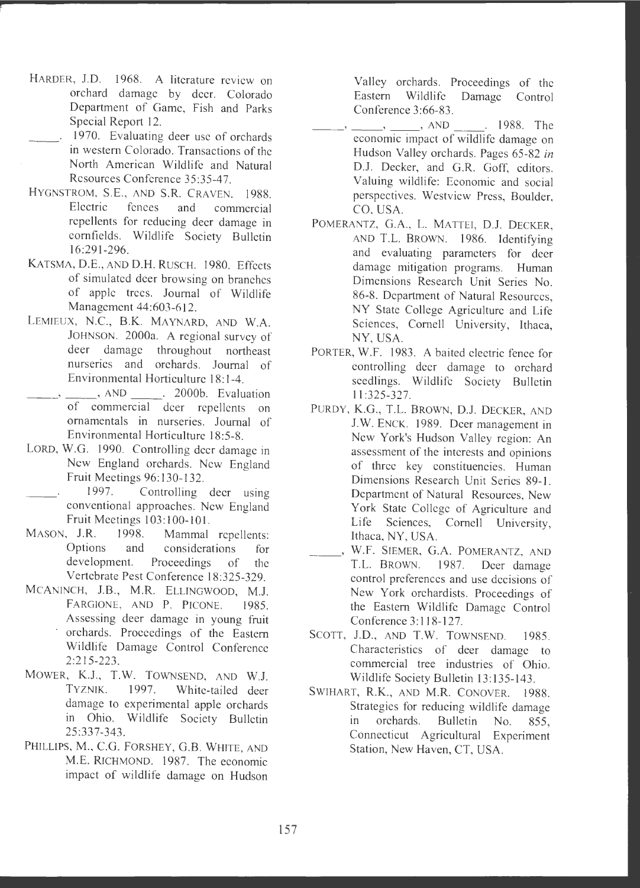- HARDER, J.D. 1968. A literature review on orchard damage by deer. Colorado Department of Game, Fish and Parks Special Report 12.
- 1970. Evaluating deer use of orchards in western Colorado. Transactions of the North American Wildlife and Natural Resources Conference 35:35-47.
- HYGNSTROM, S.E., AND S.R. CRAVEN. 1988.<br>Electric fences and commercial fences and commercial repellents for reducing deer damage in cornfields. Wildlife Society Bulletin I 6:291-296.
- KATSMA, D.E., AND D.H. RUSCH. 1980. Effects of simulated deer browsing on branches of apple trees. Journal of Wildlife Management 44:603-612.
- LEMIEUX, N.C., B.K. MAYNARD, AND W.A. JOHNSON. 2000a. A regional survey of deer damage throughout northeast nurseries and orchards. Journal of Environmental Horticulture 18: 1-4.
- $\Box$ , AND  $\Box$ . 2000b. Evaluation of commercial deer repellents on ornamentals in nurseries. Journal of Environmental Horticulture 18:5-8
- LORD, W.G. 1990. Controlling deer damage in New England orchards. New England Fruit Meetings 96: 130-132 .
- 1997. Controlling deer using conventional approaches. New England Fruit Meetings 103:100-101.
- MASON, J.R. 1998. Mammal repellents: Options and considerations for development. Proceedings of the Vertebrate Pest Conference 18:325-329.
- MCANINCH, J.B., M.R. ELLINGWOOD, M.J. FARGIONE, AND P. PICONE. 1985. Assessing deer damage in young fruit orchards. Proceedings of the Eastern Wildlife Damage Control Conference 2:215-223.
- MOWER, K.J., T.W. TOWNSEND, AND W.J. TYZNIK. 1997. White-tailed deer damage to experimental apple orchards in Ohio. Wildlife Society Bulletin 25:337-343.
- PHILLIPS, M., C.G. FORSHEY, G.B. WHITE, AND M.E. RICHMOND. 1987. The economic impact of wildlife damage on Hudson

Valley orchards. Proceedings of the Eastern Wildlife Damage Control Conference 3:66-83.

- \_\_ , \_\_ , \_\_ ,AND . 1988. The economic impact of wildlife damage on Hudson Valley orchards. Pages 65-82 *in*  D.J. Decker, and G.R. Goff, editors. Valuing wildlife: Economic and social perspectives. Westview Press, Boulder, CO, USA.
- POMERANTZ, G.A., L. MATTEI, DJ. DECKER, AND T.L. BROWN. 1986. Identifying and evaluating parameters for deer damage mitigation programs. Human Dimensions Research Unit Series No. 86-8. Department of Natural Resources, NY State College Agriculture and Life Sciences, Cornell University, Ithaca, NY, USA.
- PORTER, W.F. 1983. A baited electric fence for controlling deer damage to orchard seedlings. Wildlife Society Bulletin I I :325-327.
- PURDY, K.G., T.L. BROWN, D.J. DECKER, AND J.W. ENCK. 1989. Deer management in New York's Hudson Valley region: An assessment of the interests and opinions of three key constituencies. Human Dimensions Research Unit Series 89-1. Department of Natural Resources, New York State College of Agriculture and Life Sciences, Cornell University, Ithaca, NY, USA.
- W.F. SIEMER, G.A. POMERANTZ, AND T.L. BROWN. 1987. Deer damage control preferences and use decisions of New York orchardists. Proceedings of the Eastern Wildlife Damage Control Conference 3:118-127.
- SCOTT, J.D., AND T.W. TOWNSEND. 1985. Characteristics of deer damage to commercial tree industries of Ohio. Wildlife Society Bulletin 13:135-143.
- SWIHART, **R.K.,** AND **M.R.** CONOVER. 1988. Strategies for reducing wildlife damage in orchards. Bulletin No. 855, Connecticut Agricultural Experiment Station, New Haven, CT, USA.